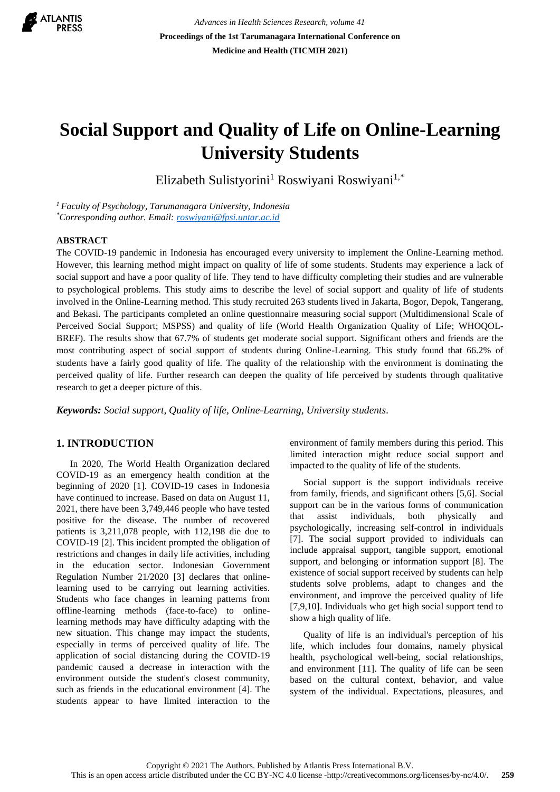

*Advances in Health Sciences Research, volume 41* **Proceedings of the 1st Tarumanagara International Conference on Medicine and Health (TICMIH 2021)**

# **Social Support and Quality of Life on Online-Learning University Students**

Elizabeth Sulistyorini<sup>1</sup> Roswiyani Roswiyani<sup>1,\*</sup>

*<sup>1</sup> Faculty of Psychology, Tarumanagara University, Indonesia \*Corresponding author. Email[: roswiyani@fpsi.untar.ac.id](mailto:roswiyani@fpsi.untar.ac.id)*

### **ABSTRACT**

The COVID-19 pandemic in Indonesia has encouraged every university to implement the Online-Learning method. However, this learning method might impact on quality of life of some students. Students may experience a lack of social support and have a poor quality of life. They tend to have difficulty completing their studies and are vulnerable to psychological problems. This study aims to describe the level of social support and quality of life of students involved in the Online-Learning method. This study recruited 263 students lived in Jakarta, Bogor, Depok, Tangerang, and Bekasi. The participants completed an online questionnaire measuring social support (Multidimensional Scale of Perceived Social Support; MSPSS) and quality of life (World Health Organization Quality of Life; WHOQOL-BREF). The results show that 67.7% of students get moderate social support. Significant others and friends are the most contributing aspect of social support of students during Online-Learning. This study found that 66.2% of students have a fairly good quality of life. The quality of the relationship with the environment is dominating the perceived quality of life. Further research can deepen the quality of life perceived by students through qualitative research to get a deeper picture of this.

*Keywords: Social support, Quality of life, Online-Learning, University students.*

# **1. INTRODUCTION**

In 2020, The World Health Organization declared COVID-19 as an emergency health condition at the beginning of 2020 [1]. COVID-19 cases in Indonesia have continued to increase. Based on data on August 11, 2021, there have been 3,749,446 people who have tested positive for the disease. The number of recovered patients is 3,211,078 people, with 112,198 die due to COVID-19 [2]. This incident prompted the obligation of restrictions and changes in daily life activities, including in the education sector. Indonesian Government Regulation Number 21/2020 [3] declares that onlinelearning used to be carrying out learning activities. Students who face changes in learning patterns from offline-learning methods (face-to-face) to onlinelearning methods may have difficulty adapting with the new situation. This change may impact the students, especially in terms of perceived quality of life. The application of social distancing during the COVID-19 pandemic caused a decrease in interaction with the environment outside the student's closest community, such as friends in the educational environment [4]. The students appear to have limited interaction to the environment of family members during this period. This limited interaction might reduce social support and impacted to the quality of life of the students.

Social support is the support individuals receive from family, friends, and significant others [5,6]. Social support can be in the various forms of communication that assist individuals, both physically and psychologically, increasing self-control in individuals [7]. The social support provided to individuals can include appraisal support, tangible support, emotional support, and belonging or information support [8]. The existence of social support received by students can help students solve problems, adapt to changes and the environment, and improve the perceived quality of life [7,9,10]. Individuals who get high social support tend to show a high quality of life.

Quality of life is an individual's perception of his life, which includes four domains, namely physical health, psychological well-being, social relationships, and environment [11]. The quality of life can be seen based on the cultural context, behavior, and value system of the individual. Expectations, pleasures, and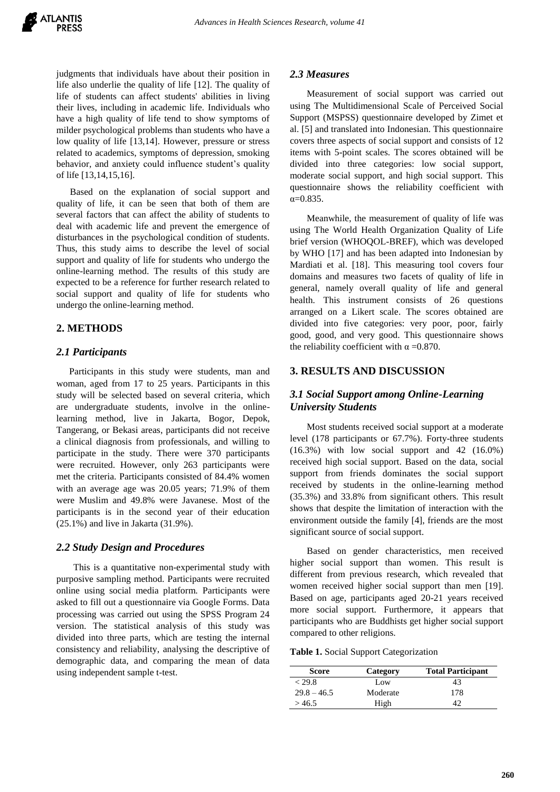judgments that individuals have about their position in life also underlie the quality of life [12]. The quality of life of students can affect students' abilities in living their lives, including in academic life. Individuals who have a high quality of life tend to show symptoms of milder psychological problems than students who have a low quality of life [13,14]. However, pressure or stress related to academics, symptoms of depression, smoking behavior, and anxiety could influence student's quality of life [13,14,15,16].

Based on the explanation of social support and quality of life, it can be seen that both of them are several factors that can affect the ability of students to deal with academic life and prevent the emergence of disturbances in the psychological condition of students. Thus, this study aims to describe the level of social support and quality of life for students who undergo the online-learning method. The results of this study are expected to be a reference for further research related to social support and quality of life for students who undergo the online-learning method.

## **2. METHODS**

### *2.1 Participants*

Participants in this study were students, man and woman, aged from 17 to 25 years. Participants in this study will be selected based on several criteria, which are undergraduate students, involve in the onlinelearning method, live in Jakarta, Bogor, Depok, Tangerang, or Bekasi areas, participants did not receive a clinical diagnosis from professionals, and willing to participate in the study. There were 370 participants were recruited. However, only 263 participants were met the criteria. Participants consisted of 84.4% women with an average age was 20.05 years; 71.9% of them were Muslim and 49.8% were Javanese. Most of the participants is in the second year of their education (25.1%) and live in Jakarta (31.9%).

## *2.2 Study Design and Procedures*

This is a quantitative non-experimental study with purposive sampling method. Participants were recruited online using social media platform. Participants were asked to fill out a questionnaire via Google Forms. Data processing was carried out using the SPSS Program 24 version. The statistical analysis of this study was divided into three parts, which are testing the internal consistency and reliability, analysing the descriptive of demographic data, and comparing the mean of data using independent sample t-test.

#### *2.3 Measures*

Measurement of social support was carried out using The Multidimensional Scale of Perceived Social Support (MSPSS) questionnaire developed by Zimet et al. [5] and translated into Indonesian. This questionnaire covers three aspects of social support and consists of 12 items with 5-point scales. The scores obtained will be divided into three categories: low social support, moderate social support, and high social support. This questionnaire shows the reliability coefficient with α=0.835.

Meanwhile, the measurement of quality of life was using The World Health Organization Quality of Life brief version (WHOQOL-BREF), which was developed by WHO [17] and has been adapted into Indonesian by Mardiati et al. [18]. This measuring tool covers four domains and measures two facets of quality of life in general, namely overall quality of life and general health. This instrument consists of 26 questions arranged on a Likert scale. The scores obtained are divided into five categories: very poor, poor, fairly good, good, and very good. This questionnaire shows the reliability coefficient with  $\alpha = 0.870$ .

## **3. RESULTS AND DISCUSSION**

## *3.1 Social Support among Online-Learning University Students*

Most students received social support at a moderate level (178 participants or 67.7%). Forty-three students (16.3%) with low social support and 42 (16.0%) received high social support. Based on the data, social support from friends dominates the social support received by students in the online-learning method (35.3%) and 33.8% from significant others. This result shows that despite the limitation of interaction with the environment outside the family [4], friends are the most significant source of social support.

Based on gender characteristics, men received higher social support than women. This result is different from previous research, which revealed that women received higher social support than men [19]. Based on age, participants aged 20-21 years received more social support. Furthermore, it appears that participants who are Buddhists get higher social support compared to other religions.

**Table 1.** Social Support Categorization

| <b>Score</b>  | Category | <b>Total Participant</b> |
|---------------|----------|--------------------------|
| $<$ 29.8      | Low      | 43                       |
| $29.8 - 46.5$ | Moderate | 178                      |
| >46.5         | High     | 42                       |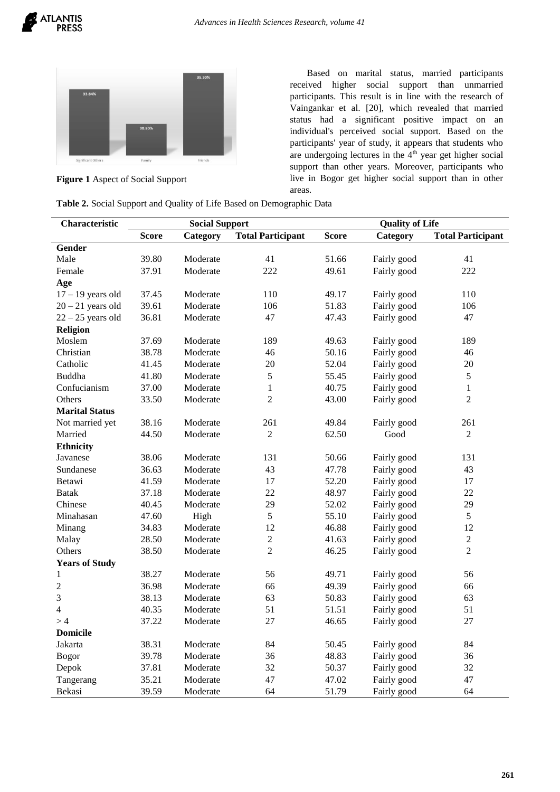

**Figure 1** Aspect of Social Support

Based on marital status, married participants received higher social support than unmarried participants. This result is in line with the research of Vaingankar et al. [20], which revealed that married status had a significant positive impact on an individual's perceived social support. Based on the participants' year of study, it appears that students who are undergoing lectures in the  $4<sup>th</sup>$  year get higher social support than other years. Moreover, participants who live in Bogor get higher social support than in other areas.

| Table 2. Social Support and Quality of Life Based on Demographic Data |  |  |
|-----------------------------------------------------------------------|--|--|
|-----------------------------------------------------------------------|--|--|

| Characteristic        | <b>Social Support</b> |          |                          | <b>Quality of Life</b> |             |                          |
|-----------------------|-----------------------|----------|--------------------------|------------------------|-------------|--------------------------|
|                       | <b>Score</b>          | Category | <b>Total Participant</b> | <b>Score</b>           | Category    | <b>Total Participant</b> |
| Gender                |                       |          |                          |                        |             |                          |
| Male                  | 39.80                 | Moderate | 41                       | 51.66                  | Fairly good | 41                       |
| Female                | 37.91                 | Moderate | 222                      | 49.61                  | Fairly good | 222                      |
| Age                   |                       |          |                          |                        |             |                          |
| $17 - 19$ years old   | 37.45                 | Moderate | 110                      | 49.17                  | Fairly good | 110                      |
| $20 - 21$ years old   | 39.61                 | Moderate | 106                      | 51.83                  | Fairly good | 106                      |
| $22 - 25$ years old   | 36.81                 | Moderate | 47                       | 47.43                  | Fairly good | 47                       |
| Religion              |                       |          |                          |                        |             |                          |
| Moslem                | 37.69                 | Moderate | 189                      | 49.63                  | Fairly good | 189                      |
| Christian             | 38.78                 | Moderate | 46                       | 50.16                  | Fairly good | 46                       |
| Catholic              | 41.45                 | Moderate | 20                       | 52.04                  | Fairly good | 20                       |
| Buddha                | 41.80                 | Moderate | 5                        | 55.45                  | Fairly good | 5                        |
| Confucianism          | 37.00                 | Moderate | 1                        | 40.75                  | Fairly good | $\mathbf{1}$             |
| Others                | 33.50                 | Moderate | $\overline{2}$           | 43.00                  | Fairly good | $\overline{c}$           |
| <b>Marital Status</b> |                       |          |                          |                        |             |                          |
| Not married yet       | 38.16                 | Moderate | 261                      | 49.84                  | Fairly good | 261                      |
| Married               | 44.50                 | Moderate | $\overline{2}$           | 62.50                  | Good        | 2                        |
| <b>Ethnicity</b>      |                       |          |                          |                        |             |                          |
| Javanese              | 38.06                 | Moderate | 131                      | 50.66                  | Fairly good | 131                      |
| Sundanese             | 36.63                 | Moderate | 43                       | 47.78                  | Fairly good | 43                       |
| Betawi                | 41.59                 | Moderate | 17                       | 52.20                  | Fairly good | 17                       |
| <b>Batak</b>          | 37.18                 | Moderate | 22                       | 48.97                  | Fairly good | 22                       |
| Chinese               | 40.45                 | Moderate | 29                       | 52.02                  | Fairly good | 29                       |
| Minahasan             | 47.60                 | High     | 5                        | 55.10                  | Fairly good | 5                        |
| Minang                | 34.83                 | Moderate | 12                       | 46.88                  | Fairly good | 12                       |
| Malay                 | 28.50                 | Moderate | $\overline{2}$           | 41.63                  | Fairly good | $\overline{2}$           |
| Others                | 38.50                 | Moderate | $\overline{2}$           | 46.25                  | Fairly good | $\overline{2}$           |
| <b>Years of Study</b> |                       |          |                          |                        |             |                          |
| 1                     | 38.27                 | Moderate | 56                       | 49.71                  | Fairly good | 56                       |
| $\mathfrak{2}$        | 36.98                 | Moderate | 66                       | 49.39                  | Fairly good | 66                       |
| 3                     | 38.13                 | Moderate | 63                       | 50.83                  | Fairly good | 63                       |
| $\overline{4}$        | 40.35                 | Moderate | 51                       | 51.51                  | Fairly good | 51                       |
| >4                    | 37.22                 | Moderate | 27                       | 46.65                  | Fairly good | 27                       |
| <b>Domicile</b>       |                       |          |                          |                        |             |                          |
| Jakarta               | 38.31                 | Moderate | 84                       | 50.45                  | Fairly good | 84                       |
| <b>Bogor</b>          | 39.78                 | Moderate | 36                       | 48.83                  | Fairly good | 36                       |
| Depok                 | 37.81                 | Moderate | 32                       | 50.37                  | Fairly good | 32                       |
| Tangerang             | 35.21                 | Moderate | 47                       | 47.02                  | Fairly good | 47                       |
| Bekasi                | 39.59                 | Moderate | 64                       | 51.79                  | Fairly good | 64                       |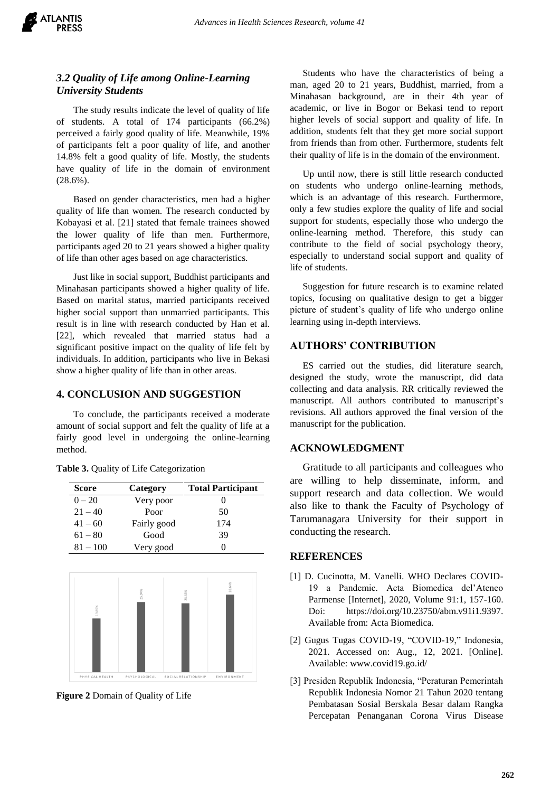

# *3.2 Quality of Life among Online-Learning University Students*

The study results indicate the level of quality of life of students. A total of 174 participants (66.2%) perceived a fairly good quality of life. Meanwhile, 19% of participants felt a poor quality of life, and another 14.8% felt a good quality of life. Mostly, the students have quality of life in the domain of environment (28.6%).

Based on gender characteristics, men had a higher quality of life than women. The research conducted by Kobayasi et al. [21] stated that female trainees showed the lower quality of life than men. Furthermore, participants aged 20 to 21 years showed a higher quality of life than other ages based on age characteristics.

Just like in social support, Buddhist participants and Minahasan participants showed a higher quality of life. Based on marital status, married participants received higher social support than unmarried participants. This result is in line with research conducted by Han et al. [22], which revealed that married status had a significant positive impact on the quality of life felt by individuals. In addition, participants who live in Bekasi show a higher quality of life than in other areas.

## **4. CONCLUSION AND SUGGESTION**

To conclude, the participants received a moderate amount of social support and felt the quality of life at a fairly good level in undergoing the online-learning method.

| <b>Score</b> | Category    | <b>Total Participant</b> |
|--------------|-------------|--------------------------|
| $0 - 20$     | Very poor   |                          |
| $21 - 40$    | Poor        | 50                       |
| $41 - 60$    | Fairly good | 174                      |
| $61 - 80$    | Good        | 39                       |
| $81 - 100$   | Very good   |                          |

**Table 3.** Quality of Life Categorization



**Figure 2** Domain of Quality of Life

Students who have the characteristics of being a man, aged 20 to 21 years, Buddhist, married, from a Minahasan background, are in their 4th year of academic, or live in Bogor or Bekasi tend to report higher levels of social support and quality of life. In addition, students felt that they get more social support from friends than from other. Furthermore, students felt their quality of life is in the domain of the environment.

Up until now, there is still little research conducted on students who undergo online-learning methods, which is an advantage of this research. Furthermore, only a few studies explore the quality of life and social support for students, especially those who undergo the online-learning method. Therefore, this study can contribute to the field of social psychology theory, especially to understand social support and quality of life of students.

Suggestion for future research is to examine related topics, focusing on qualitative design to get a bigger picture of student's quality of life who undergo online learning using in-depth interviews.

# **AUTHORS' CONTRIBUTION**

ES carried out the studies, did literature search, designed the study, wrote the manuscript, did data collecting and data analysis. RR critically reviewed the manuscript. All authors contributed to manuscript's revisions. All authors approved the final version of the manuscript for the publication.

# **ACKNOWLEDGMENT**

Gratitude to all participants and colleagues who are willing to help disseminate, inform, and support research and data collection. We would also like to thank the Faculty of Psychology of Tarumanagara University for their support in conducting the research.

### **REFERENCES**

- [1] D. Cucinotta, M. Vanelli. WHO Declares COVID-19 a Pandemic. Acta Biomedica del'Ateneo Parmense [Internet], 2020, Volume 91:1, 157-160. Doi: https://doi.org/10.23750/abm.v91i1.9397. Available from: Acta Biomedica.
- [2] Gugus Tugas COVID-19, "COVID-19," Indonesia, 2021. Accessed on: Aug., 12, 2021. [Online]. Available: www.covid19.go.id/
- [3] Presiden Republik Indonesia, "Peraturan Pemerintah Republik Indonesia Nomor 21 Tahun 2020 tentang Pembatasan Sosial Berskala Besar dalam Rangka Percepatan Penanganan Corona Virus Disease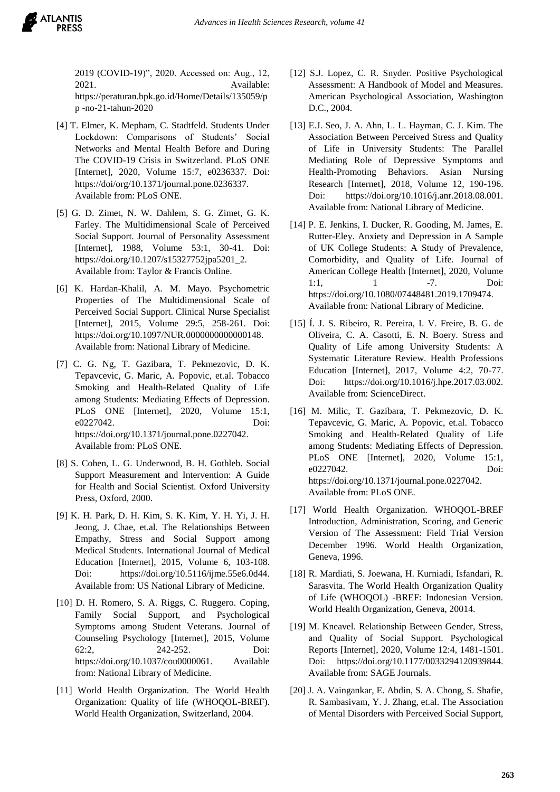2019 (COVID-19)", 2020. Accessed on: Aug., 12, 2021. Available: https://peraturan.bpk.go.id/Home/Details/135059/p p -no-21-tahun-2020

- [4] T. Elmer, K. Mepham, C. Stadtfeld. Students Under Lockdown: Comparisons of Students' Social Networks and Mental Health Before and During The COVID-19 Crisis in Switzerland. PLoS ONE [Internet], 2020, Volume 15:7, e0236337. Doi: https://doi/org/10.1371/journal.pone.0236337. Available from: PLoS ONE.
- [5] G. D. Zimet, N. W. Dahlem, S. G. Zimet, G. K. Farley. The Multidimensional Scale of Perceived Social Support. Journal of Personality Assessment [Internet], 1988, Volume 53:1, 30-41. Doi: https://doi.org/10.1207/s15327752jpa5201\_2. Available from: Taylor & Francis Online.
- [6] K. Hardan-Khalil, A. M. Mayo. Psychometric Properties of The Multidimensional Scale of Perceived Social Support. Clinical Nurse Specialist [Internet], 2015, Volume 29:5, 258-261. Doi: https://doi.org/10.1097/NUR.0000000000000148. Available from: National Library of Medicine.
- [7] C. G. Ng, T. Gazibara, T. Pekmezovic, D. K. Tepavcevic, G. Maric, A. Popovic, et.al. Tobacco Smoking and Health-Related Quality of Life among Students: Mediating Effects of Depression. PLoS ONE [Internet], 2020, Volume 15:1, e0227042. Doi: https://doi.org/10.1371/journal.pone.0227042. Available from: PLoS ONE.
- [8] S. Cohen, L. G. Underwood, B. H. Gothleb. Social Support Measurement and Intervention: A Guide for Health and Social Scientist. Oxford University Press, Oxford, 2000.
- [9] K. H. Park, D. H. Kim, S. K. Kim, Y. H. Yi, J. H. Jeong, J. Chae, et.al. The Relationships Between Empathy, Stress and Social Support among Medical Students. International Journal of Medical Education [Internet], 2015, Volume 6, 103-108. Doi: https://doi.org/10.5116/ijme.55e6.0d44. Available from: US National Library of Medicine.
- [10] D. H. Romero, S. A. Riggs, C. Ruggero. Coping, Family Social Support, and Psychological Symptoms among Student Veterans. Journal of Counseling Psychology [Internet], 2015, Volume 62:2, 242-252. Doi: https://doi.org/10.1037/cou0000061. Available from: National Library of Medicine.
- [11] World Health Organization. The World Health Organization: Quality of life (WHOQOL-BREF). World Health Organization, Switzerland, 2004.
- [12] S.J. Lopez, C. R. Snyder. Positive Psychological Assessment: A Handbook of Model and Measures. American Psychological Association, Washington D.C., 2004.
- [13] E.J. Seo, J. A. Ahn, L. L. Hayman, C. J. Kim. The Association Between Perceived Stress and Quality of Life in University Students: The Parallel Mediating Role of Depressive Symptoms and Health-Promoting Behaviors. Asian Nursing Research [Internet], 2018, Volume 12, 190-196. Doi: https://doi.org/10.1016/j.anr.2018.08.001. Available from: National Library of Medicine.
- [14] P. E. Jenkins, I. Ducker, R. Gooding, M. James, E. Rutter-Eley. Anxiety and Depression in A Sample of UK College Students: A Study of Prevalence, Comorbidity, and Quality of Life. Journal of American College Health [Internet], 2020, Volume 1:1, 1 -7. Doi: https://doi.org/10.1080/07448481.2019.1709474. Available from: National Library of Medicine.
- [15] Í. J. S. Ribeiro, R. Pereira, I. V. Freire, B. G. de Oliveira, C. A. Casotti, E. N. Boery. Stress and Quality of Life among University Students: A Systematic Literature Review. Health Professions Education [Internet], 2017, Volume 4:2, 70-77. Doi: https://doi.org/10.1016/j.hpe.2017.03.002. Available from: ScienceDirect.
- [16] M. Milic, T. Gazibara, T. Pekmezovic, D. K. Tepavcevic, G. Maric, A. Popovic, et.al. Tobacco Smoking and Health-Related Quality of Life among Students: Mediating Effects of Depression. PLoS ONE [Internet], 2020, Volume 15:1, e0227042. Doi: https://doi.org/10.1371/journal.pone.0227042. Available from: PLoS ONE.
- [17] World Health Organization. WHOQOL-BREF Introduction, Administration, Scoring, and Generic Version of The Assessment: Field Trial Version December 1996. World Health Organization, Geneva, 1996.
- [18] R. Mardiati, S. Joewana, H. Kurniadi, Isfandari, R. Sarasvita. The World Health Organization Quality of Life (WHOQOL) -BREF: Indonesian Version. World Health Organization, Geneva, 20014.
- [19] M. Kneavel. Relationship Between Gender, Stress, and Quality of Social Support. Psychological Reports [Internet], 2020, Volume 12:4, 1481-1501. Doi: https://doi.org/10.1177/0033294120939844. Available from: SAGE Journals.
- [20] J. A. Vaingankar, E. Abdin, S. A. Chong, S. Shafie, R. Sambasivam, Y. J. Zhang, et.al. The Association of Mental Disorders with Perceived Social Support,